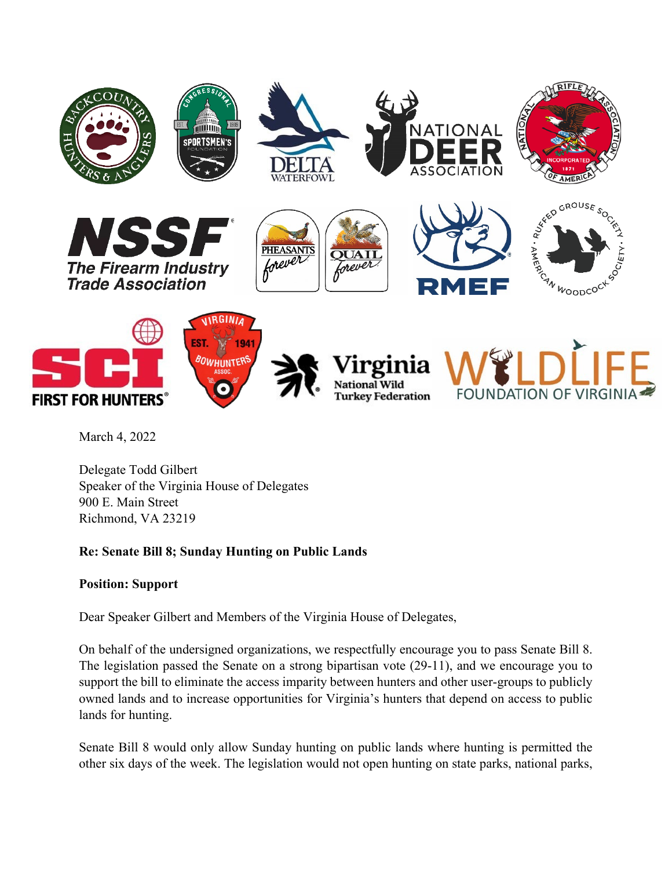

March 4, 2022

Delegate Todd Gilbert Speaker of the Virginia House of Delegates 900 E. Main Street Richmond, VA 23219

## **Re: Senate Bill 8; Sunday Hunting on Public Lands**

**Position: Support** 

Dear Speaker Gilbert and Members of the Virginia House of Delegates,

On behalf of the undersigned organizations, we respectfully encourage you to pass Senate Bill 8. The legislation passed the Senate on a strong bipartisan vote (29-11), and we encourage you to support the bill to eliminate the access imparity between hunters and other user-groups to publicly owned lands and to increase opportunities for Virginia's hunters that depend on access to public lands for hunting.

Senate Bill 8 would only allow Sunday hunting on public lands where hunting is permitted the other six days of the week. The legislation would not open hunting on state parks, national parks,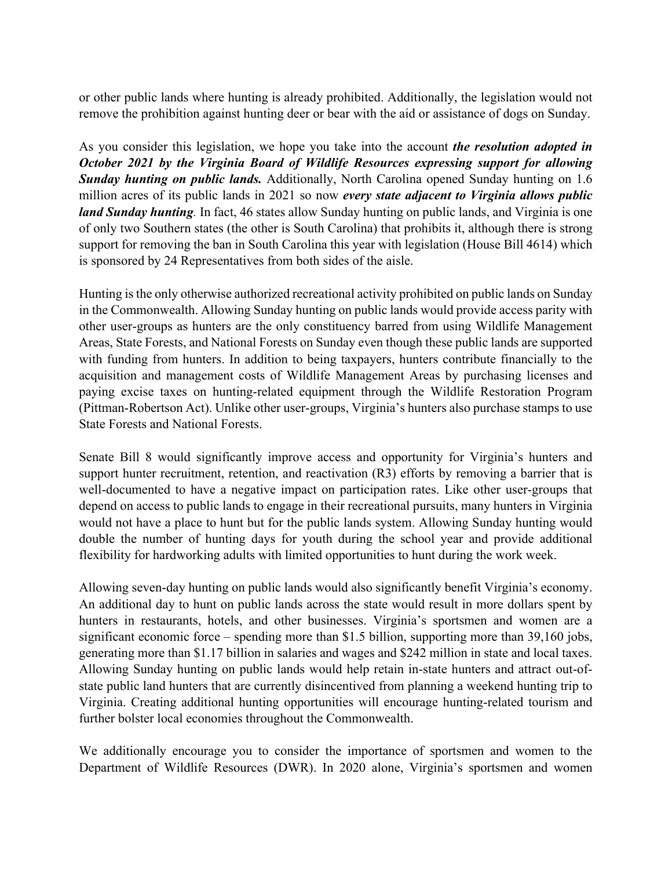or other public lands where hunting is already prohibited. Additionally, the legislation would not remove the prohibition against hunting deer or bear with the aid or assistance of dogs on Sunday.

As you consider this legislation, we hope you take into the account *the resolution adopted in October 2021 by the Virginia Board of Wildlife Resources expressing support for allowing Sunday hunting on public lands.* Additionally, North Carolina opened Sunday hunting on 1.6 million acres of its public lands in 2021 so now *every state adjacent to Virginia allows public land Sunday hunting.* In fact, 46 states allow Sunday hunting on public lands, and Virginia is one of only two Southern states (the other is South Carolina) that prohibits it, although there is strong support for removing the ban in South Carolina this year with legislation (House Bill 4614) which is sponsored by 24 Representatives from both sides of the aisle.

Hunting is the only otherwise authorized recreational activity prohibited on public lands on Sunday in the Commonwealth. Allowing Sunday hunting on public lands would provide access parity with other user-groups as hunters are the only constituency barred from using Wildlife Management Areas, State Forests, and National Forests on Sunday even though these public lands are supported with funding from hunters. In addition to being taxpayers, hunters contribute financially to the acquisition and management costs of Wildlife Management Areas by purchasing licenses and paying excise taxes on hunting-related equipment through the Wildlife Restoration Program (Pittman-Robertson Act). Unlike other user-groups, Virginia's hunters also purchase stamps to use State Forests and National Forests.

Senate Bill 8 would significantly improve access and opportunity for Virginia's hunters and support hunter recruitment, retention, and reactivation (R3) efforts by removing a barrier that is well-documented to have a negative impact on participation rates. Like other user-groups that depend on access to public lands to engage in their recreational pursuits, many hunters in Virginia would not have a place to hunt but for the public lands system. Allowing Sunday hunting would double the number of hunting days for youth during the school year and provide additional flexibility for hardworking adults with limited opportunities to hunt during the work week.

Allowing seven-day hunting on public lands would also significantly benefit Virginia's economy. An additional day to hunt on public lands across the state would result in more dollars spent by hunters in restaurants, hotels, and other businesses. Virginia's sportsmen and women are a significant economic force – spending more than \$1.5 billion, supporting more than 39,160 jobs, generating more than \$1.17 billion in salaries and wages and \$242 million in state and local taxes. Allowing Sunday hunting on public lands would help retain in-state hunters and attract out-ofstate public land hunters that are currently disincentived from planning a weekend hunting trip to Virginia. Creating additional hunting opportunities will encourage hunting-related tourism and further bolster local economies throughout the Commonwealth.

We additionally encourage you to consider the importance of sportsmen and women to the Department of Wildlife Resources (DWR). In 2020 alone, Virginia's sportsmen and women